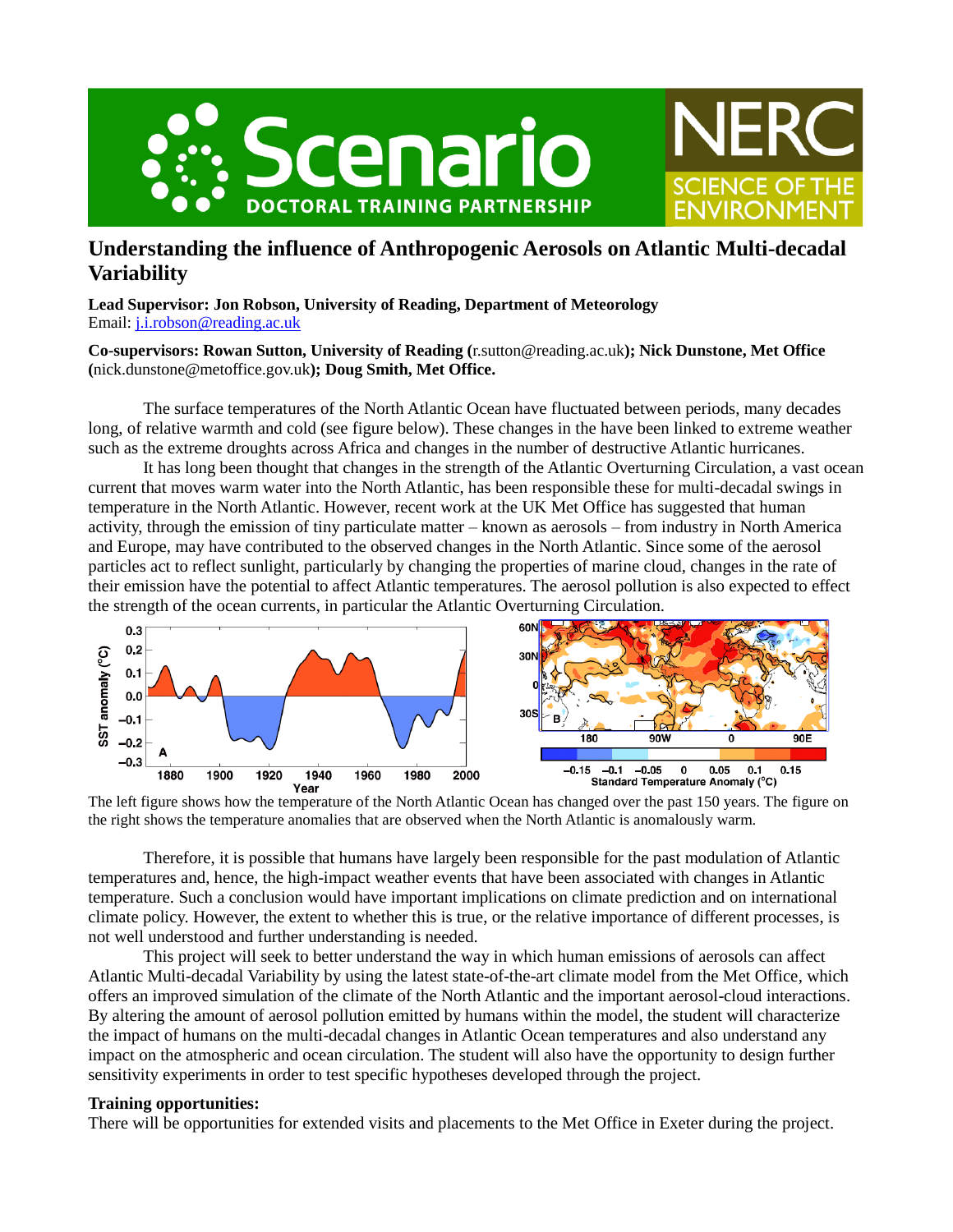



**SCIENCE OF THE** 

*ENVIRONMEN* 

**Lead Supervisor: Jon Robson, University of Reading, Department of Meteorology** Email: [j.i.robson@reading.ac.uk](mailto:j.i.robson@reading.ac.uk)

### **Co-supervisors: Rowan Sutton, University of Reading (**r.sutton@reading.ac.uk**); Nick Dunstone, Met Office (**nick.dunstone@metoffice.gov.uk**); Doug Smith, Met Office.**

The surface temperatures of the North Atlantic Ocean have fluctuated between periods, many decades long, of relative warmth and cold (see figure below). These changes in the have been linked to extreme weather such as the extreme droughts across Africa and changes in the number of destructive Atlantic hurricanes.

It has long been thought that changes in the strength of the Atlantic Overturning Circulation, a vast ocean current that moves warm water into the North Atlantic, has been responsible these for multi-decadal swings in temperature in the North Atlantic. However, recent work at the UK Met Office has suggested that human activity, through the emission of tiny particulate matter – known as aerosols – from industry in North America and Europe, may have contributed to the observed changes in the North Atlantic. Since some of the aerosol particles act to reflect sunlight, particularly by changing the properties of marine cloud, changes in the rate of their emission have the potential to affect Atlantic temperatures. The aerosol pollution is also expected to effect the strength of the ocean currents, in particular the Atlantic Overturning Circulation.



The left figure shows how the temperature of the North Atlantic Ocean has changed over the past 150 years. The figure on the right shows the temperature anomalies that are observed when the North Atlantic is anomalously warm.

Therefore, it is possible that humans have largely been responsible for the past modulation of Atlantic temperatures and, hence, the high-impact weather events that have been associated with changes in Atlantic temperature. Such a conclusion would have important implications on climate prediction and on international climate policy. However, the extent to whether this is true, or the relative importance of different processes, is not well understood and further understanding is needed.

This project will seek to better understand the way in which human emissions of aerosols can affect Atlantic Multi-decadal Variability by using the latest state-of-the-art climate model from the Met Office, which offers an improved simulation of the climate of the North Atlantic and the important aerosol-cloud interactions. By altering the amount of aerosol pollution emitted by humans within the model, the student will characterize the impact of humans on the multi-decadal changes in Atlantic Ocean temperatures and also understand any impact on the atmospheric and ocean circulation. The student will also have the opportunity to design further sensitivity experiments in order to test specific hypotheses developed through the project.

#### **Training opportunities:**

There will be opportunities for extended visits and placements to the Met Office in Exeter during the project.